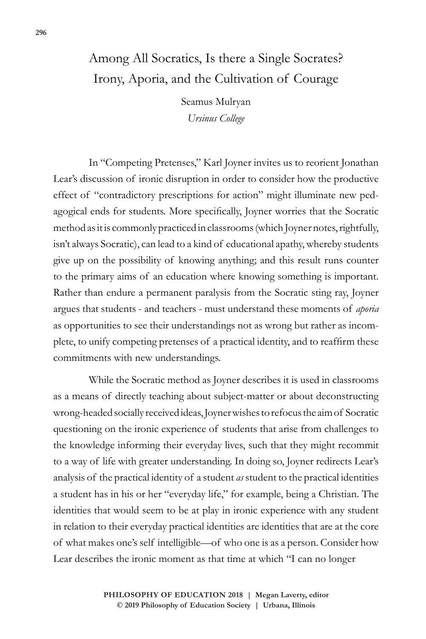## Among All Socratics, Is there a Single Socrates? Irony, Aporia, and the Cultivation of Courage

Seamus Mulryan *Ursinus College*

In "Competing Pretenses," Karl Joyner invites us to reorient Jonathan Lear's discussion of ironic disruption in order to consider how the productive effect of "contradictory prescriptions for action" might illuminate new pedagogical ends for students. More specifically, Joyner worries that the Socratic method as it is commonly practiced in classrooms (which Joyner notes, rightfully, isn't always Socratic), can lead to a kind of educational apathy, whereby students give up on the possibility of knowing anything; and this result runs counter to the primary aims of an education where knowing something is important. Rather than endure a permanent paralysis from the Socratic sting ray, Joyner argues that students - and teachers - must understand these moments of *aporia* as opportunities to see their understandings not as wrong but rather as incomplete, to unify competing pretenses of a practical identity, and to reaffirm these commitments with new understandings.

While the Socratic method as Joyner describes it is used in classrooms as a means of directly teaching about subject-matter or about deconstructing wrong-headed socially received ideas, Joyner wishes to refocus the aim of Socratic questioning on the ironic experience of students that arise from challenges to the knowledge informing their everyday lives, such that they might recommit to a way of life with greater understanding. In doing so, Joyner redirects Lear's analysis of the practical identity of a student *as* student to the practical identities a student has in his or her "everyday life," for example, being a Christian. The identities that would seem to be at play in ironic experience with any student in relation to their everyday practical identities are identities that are at the core of what makes one's self intelligible—of who one is as a person. Consider how Lear describes the ironic moment as that time at which "I can no longer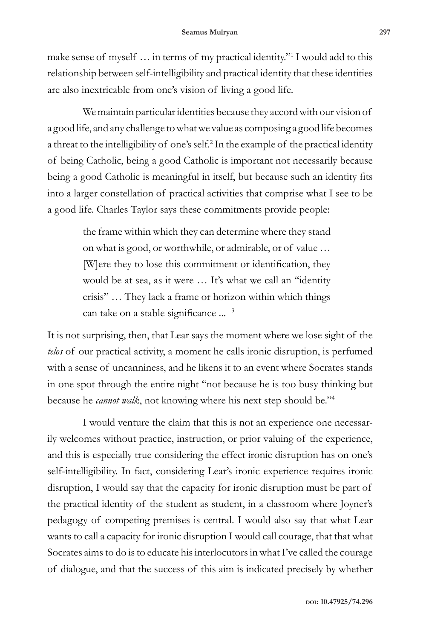make sense of myself ... in terms of my practical identity."<sup>1</sup> I would add to this relationship between self-intelligibility and practical identity that these identities are also inextricable from one's vision of living a good life.

We maintain particular identities because they accord with our vision of a good life, and any challenge to what we value as composing a good life becomes a threat to the intelligibility of one's self.<sup>2</sup> In the example of the practical identity of being Catholic, being a good Catholic is important not necessarily because being a good Catholic is meaningful in itself, but because such an identity fits into a larger constellation of practical activities that comprise what I see to be a good life. Charles Taylor says these commitments provide people:

> the frame within which they can determine where they stand on what is good, or worthwhile, or admirable, or of value … [W]ere they to lose this commitment or identification, they would be at sea, as it were … It's what we call an "identity crisis" … They lack a frame or horizon within which things can take on a stable significance ... <sup>3</sup>

It is not surprising, then, that Lear says the moment where we lose sight of the *telos* of our practical activity, a moment he calls ironic disruption, is perfumed with a sense of uncanniness, and he likens it to an event where Socrates stands in one spot through the entire night "not because he is too busy thinking but because he *cannot walk*, not knowing where his next step should be."4

I would venture the claim that this is not an experience one necessarily welcomes without practice, instruction, or prior valuing of the experience, and this is especially true considering the effect ironic disruption has on one's self-intelligibility. In fact, considering Lear's ironic experience requires ironic disruption, I would say that the capacity for ironic disruption must be part of the practical identity of the student as student, in a classroom where Joyner's pedagogy of competing premises is central. I would also say that what Lear wants to call a capacity for ironic disruption I would call courage, that that what Socrates aims to do is to educate his interlocutors in what I've called the courage of dialogue, and that the success of this aim is indicated precisely by whether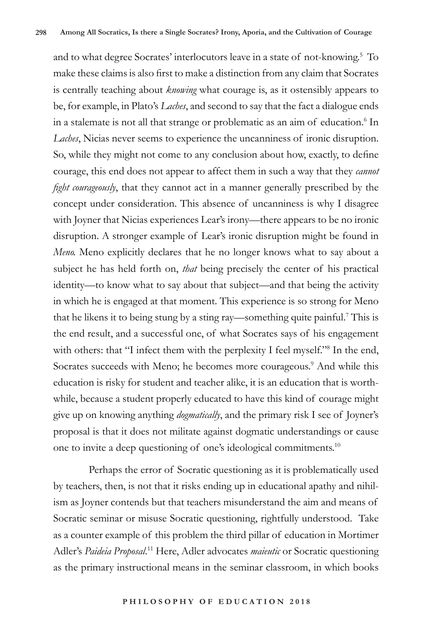and to what degree Socrates' interlocutors leave in a state of not-knowing.5 To make these claims is also first to make a distinction from any claim that Socrates is centrally teaching about *knowing* what courage is, as it ostensibly appears to be, for example, in Plato's *Laches*, and second to say that the fact a dialogue ends in a stalemate is not all that strange or problematic as an aim of education.<sup>6</sup> In *Laches*, Nicias never seems to experience the uncanniness of ironic disruption. So, while they might not come to any conclusion about how, exactly, to define courage, this end does not appear to affect them in such a way that they *cannot fight courageously*, that they cannot act in a manner generally prescribed by the concept under consideration. This absence of uncanniness is why I disagree with Joyner that Nicias experiences Lear's irony—there appears to be no ironic disruption. A stronger example of Lear's ironic disruption might be found in *Meno.* Meno explicitly declares that he no longer knows what to say about a subject he has held forth on, *that* being precisely the center of his practical identity—to know what to say about that subject—and that being the activity in which he is engaged at that moment. This experience is so strong for Meno that he likens it to being stung by a sting ray—something quite painful.<sup>7</sup> This is the end result, and a successful one, of what Socrates says of his engagement with others: that "I infect them with the perplexity I feel myself."<sup>8</sup> In the end, Socrates succeeds with Meno; he becomes more courageous.<sup>9</sup> And while this education is risky for student and teacher alike, it is an education that is worthwhile, because a student properly educated to have this kind of courage might give up on knowing anything *dogmatically*, and the primary risk I see of Joyner's proposal is that it does not militate against dogmatic understandings or cause one to invite a deep questioning of one's ideological commitments.10

Perhaps the error of Socratic questioning as it is problematically used by teachers, then, is not that it risks ending up in educational apathy and nihilism as Joyner contends but that teachers misunderstand the aim and means of Socratic seminar or misuse Socratic questioning, rightfully understood. Take as a counter example of this problem the third pillar of education in Mortimer Adler's *Paideia Proposal*. 11 Here, Adler advocates *maieutic* or Socratic questioning as the primary instructional means in the seminar classroom, in which books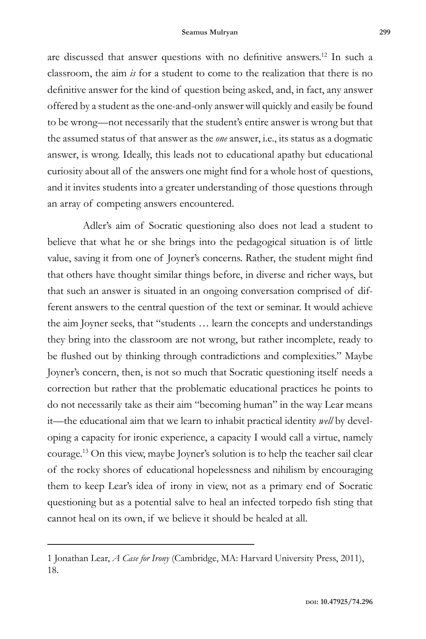are discussed that answer questions with no definitive answers.12 In such a classroom, the aim *is* for a student to come to the realization that there is no definitive answer for the kind of question being asked, and, in fact, any answer offered by a student as the one-and-only answer will quickly and easily be found to be wrong—not necessarily that the student's entire answer is wrong but that the assumed status of that answer as the *one* answer, i.e., its status as a dogmatic answer, is wrong. Ideally, this leads not to educational apathy but educational curiosity about all of the answers one might find for a whole host of questions, and it invites students into a greater understanding of those questions through an array of competing answers encountered.

Adler's aim of Socratic questioning also does not lead a student to believe that what he or she brings into the pedagogical situation is of little value, saving it from one of Joyner's concerns. Rather, the student might find that others have thought similar things before, in diverse and richer ways, but that such an answer is situated in an ongoing conversation comprised of different answers to the central question of the text or seminar. It would achieve the aim Joyner seeks, that "students … learn the concepts and understandings they bring into the classroom are not wrong, but rather incomplete, ready to be flushed out by thinking through contradictions and complexities." Maybe Joyner's concern, then, is not so much that Socratic questioning itself needs a correction but rather that the problematic educational practices he points to do not necessarily take as their aim "becoming human" in the way Lear means it—the educational aim that we learn to inhabit practical identity *well* by developing a capacity for ironic experience, a capacity I would call a virtue, namely courage.13 On this view, maybe Joyner's solution is to help the teacher sail clear of the rocky shores of educational hopelessness and nihilism by encouraging them to keep Lear's idea of irony in view, not as a primary end of Socratic questioning but as a potential salve to heal an infected torpedo fish sting that cannot heal on its own, if we believe it should be healed at all.

<sup>1</sup> Jonathan Lear, *A Case for Irony* (Cambridge, MA: Harvard University Press, 2011), 18.